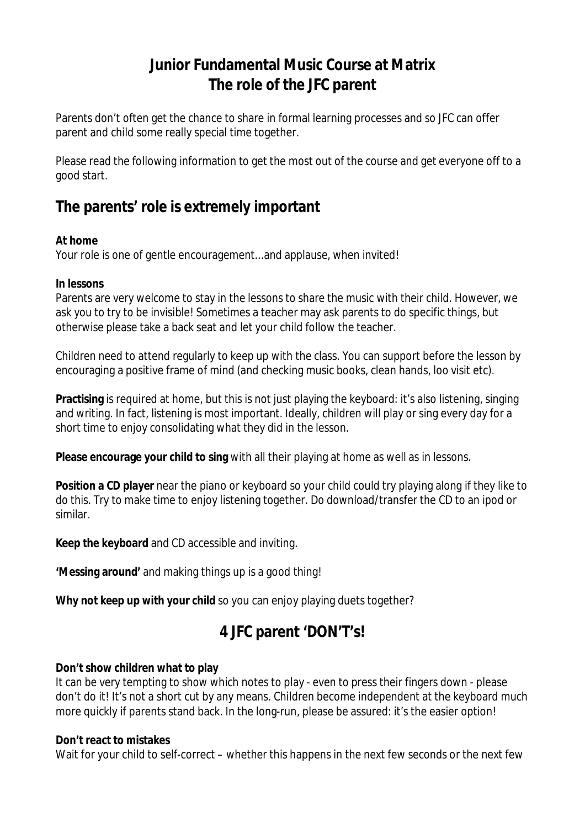## **Junior Fundamental Music Course at Matrix The role of the JFC parent**

Parents don't often get the chance to share in formal learning processes and so JFC can offer parent and child some really special time together.

Please read the following information to get the most out of the course and get everyone off to a good start.

# **The parents' role is extremely important**

### **At home**

Your role is one of gentle encouragement...and applause, when invited!

### **In lessons**

Parents are very welcome to stay in the lessons to share the music with their child. However, we ask you to try to be invisible! Sometimes a teacher may ask parents to do specific things, but otherwise please take a back seat and let your child follow the teacher.

Children need to attend regularly to keep up with the class. You can support before the lesson by encouraging a positive frame of mind (and checking music books, clean hands, loo visit etc).

**Practising** is required at home, but this is not just playing the keyboard: it's also listening, singing and writing. In fact, listening is most important. Ideally, children will play or sing every day for a short time to enjoy consolidating what they did in the lesson.

**Please encourage your child to sing** with all their playing at home as well as in lessons.

**Position a CD player** near the piano or keyboard so your child could try playing along if they like to do this. Try to make time to enjoy listening together. Do download/transfer the CD to an ipod or similar.

**Keep the keyboard** and CD accessible and inviting.

**'Messing around'** and making things up is a good thing!

Why not keep up with your child so you can enjoy playing duets together?

# **4 JFC parent 'DON'T's!**

### **Don't show children what to play**

It can be very tempting to show which notes to play - even to press their fingers down - please don't do it! It's not a short cut by any means. Children become independent at the keyboard much more quickly if parents stand back. In the long-run, please be assured: it's the easier option!

### **Don't react to mistakes**

Wait for your child to self-correct – whether this happens in the next few seconds or the next few